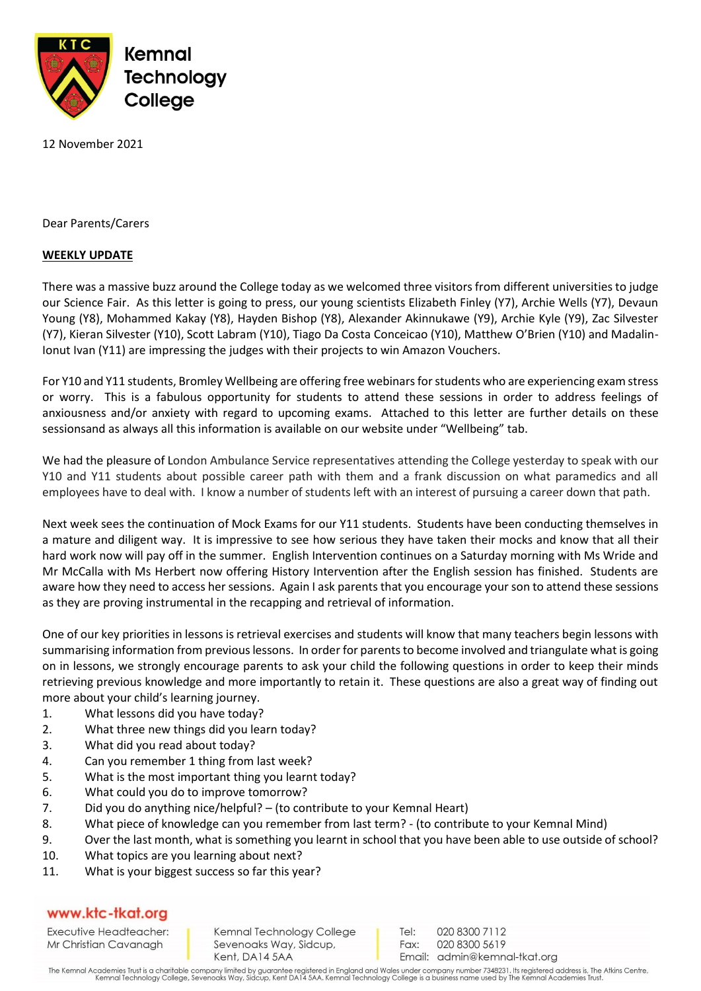

12 November 2021

Dear Parents/Carers

## **WEEKLY UPDATE**

There was a massive buzz around the College today as we welcomed three visitors from different universities to judge our Science Fair. As this letter is going to press, our young scientists Elizabeth Finley (Y7), Archie Wells (Y7), Devaun Young (Y8), Mohammed Kakay (Y8), Hayden Bishop (Y8), Alexander Akinnukawe (Y9), Archie Kyle (Y9), Zac Silvester (Y7), Kieran Silvester (Y10), Scott Labram (Y10), Tiago Da Costa Conceicao (Y10), Matthew O'Brien (Y10) and Madalin-Ionut Ivan (Y11) are impressing the judges with their projects to win Amazon Vouchers.

For Y10 and Y11 students, Bromley Wellbeing are offering free webinars for students who are experiencing exam stress or worry. This is a fabulous opportunity for students to attend these sessions in order to address feelings of anxiousness and/or anxiety with regard to upcoming exams. Attached to this letter are further details on these sessionsand as always all this information is available on our website under "Wellbeing" tab.

We had the pleasure of London Ambulance Service representatives attending the College yesterday to speak with our Y10 and Y11 students about possible career path with them and a frank discussion on what paramedics and all employees have to deal with. I know a number of students left with an interest of pursuing a career down that path.

Next week sees the continuation of Mock Exams for our Y11 students. Students have been conducting themselves in a mature and diligent way. It is impressive to see how serious they have taken their mocks and know that all their hard work now will pay off in the summer. English Intervention continues on a Saturday morning with Ms Wride and Mr McCalla with Ms Herbert now offering History Intervention after the English session has finished. Students are aware how they need to access her sessions. Again I ask parents that you encourage your son to attend these sessions as they are proving instrumental in the recapping and retrieval of information.

One of our key priorities in lessons is retrieval exercises and students will know that many teachers begin lessons with summarising information from previous lessons. In order for parents to become involved and triangulate what is going on in lessons, we strongly encourage parents to ask your child the following questions in order to keep their minds retrieving previous knowledge and more importantly to retain it. These questions are also a great way of finding out more about your child's learning journey.

- 1. What lessons did you have today?
- 2. What three new things did you learn today?
- 3. What did you read about today?
- 4. Can you remember 1 thing from last week?
- 5. What is the most important thing you learnt today?
- 6. What could you do to improve tomorrow?
- 7. Did you do anything nice/helpful? (to contribute to your Kemnal Heart)
- 8. What piece of knowledge can you remember from last term? (to contribute to your Kemnal Mind)
- 9. Over the last month, what is something you learnt in school that you have been able to use outside of school?
- 10. What topics are you learning about next?
- 11. What is your biggest success so far this year?

## www.ktc-tkat.org

Executive Headteacher: Mr Christian Cavanagh

Kemnal Technology College Sevenoaks Way, Sidcup, Kent, DA14 5AA

Tel: 020 8300 7112 Fax: 020 8300 5619 Email: admin@kemnal-tkat.org

The Kemnal Academies Trust is a charitable company limited by guarantee registered in England and Wales under company number 7348231. Its registered address is, The Atkins Centre,<br>Kemnal Technology College, Sevenoaks Way,